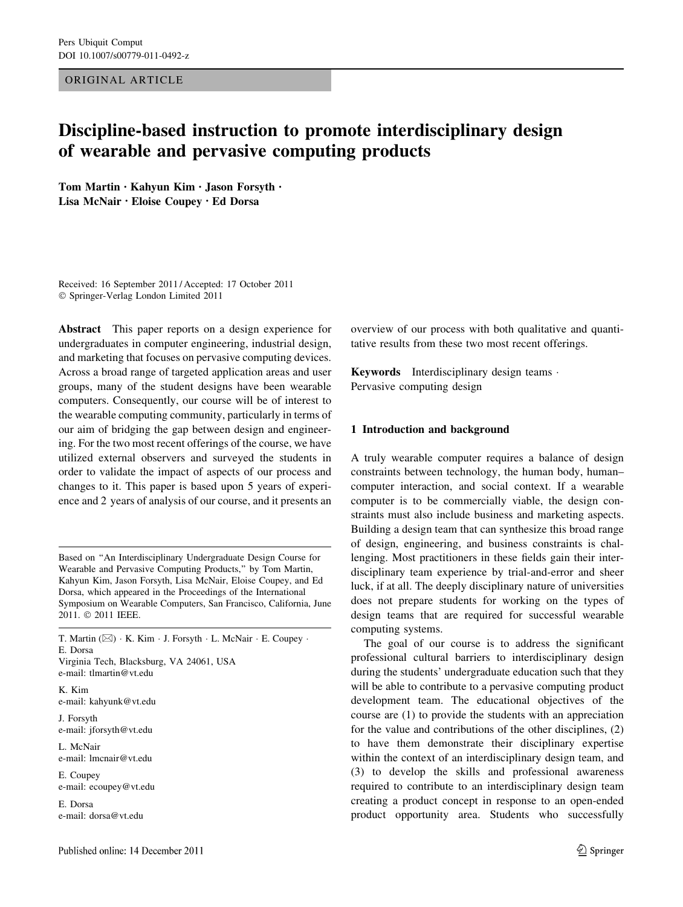ORIGINAL ARTICLE

# Discipline-based instruction to promote interdisciplinary design of wearable and pervasive computing products

Tom Martin • Kahyun Kim • Jason Forsyth • Lisa McNair • Eloise Coupey • Ed Dorsa

Received: 16 September 2011 / Accepted: 17 October 2011 - Springer-Verlag London Limited 2011

Abstract This paper reports on a design experience for undergraduates in computer engineering, industrial design, and marketing that focuses on pervasive computing devices. Across a broad range of targeted application areas and user groups, many of the student designs have been wearable computers. Consequently, our course will be of interest to the wearable computing community, particularly in terms of our aim of bridging the gap between design and engineering. For the two most recent offerings of the course, we have utilized external observers and surveyed the students in order to validate the impact of aspects of our process and changes to it. This paper is based upon 5 years of experience and 2 years of analysis of our course, and it presents an

Based on ''An Interdisciplinary Undergraduate Design Course for Wearable and Pervasive Computing Products,'' by Tom Martin, Kahyun Kim, Jason Forsyth, Lisa McNair, Eloise Coupey, and Ed Dorsa, which appeared in the Proceedings of the International Symposium on Wearable Computers, San Francisco, California, June 2011. © 2011 IEEE.

T. Martin (⊠) · K. Kim · J. Forsyth · L. McNair · E. Coupey · E. Dorsa Virginia Tech, Blacksburg, VA 24061, USA e-mail: tlmartin@vt.edu

K. Kim e-mail: kahyunk@vt.edu

J. Forsyth e-mail: jforsyth@vt.edu

L. McNair e-mail: lmcnair@vt.edu

E. Coupey e-mail: ecoupey@vt.edu

E. Dorsa e-mail: dorsa@vt.edu overview of our process with both qualitative and quantitative results from these two most recent offerings.

Keywords Interdisciplinary design teams . Pervasive computing design

## 1 Introduction and background

A truly wearable computer requires a balance of design constraints between technology, the human body, human– computer interaction, and social context. If a wearable computer is to be commercially viable, the design constraints must also include business and marketing aspects. Building a design team that can synthesize this broad range of design, engineering, and business constraints is challenging. Most practitioners in these fields gain their interdisciplinary team experience by trial-and-error and sheer luck, if at all. The deeply disciplinary nature of universities does not prepare students for working on the types of design teams that are required for successful wearable computing systems.

The goal of our course is to address the significant professional cultural barriers to interdisciplinary design during the students' undergraduate education such that they will be able to contribute to a pervasive computing product development team. The educational objectives of the course are (1) to provide the students with an appreciation for the value and contributions of the other disciplines, (2) to have them demonstrate their disciplinary expertise within the context of an interdisciplinary design team, and (3) to develop the skills and professional awareness required to contribute to an interdisciplinary design team creating a product concept in response to an open-ended product opportunity area. Students who successfully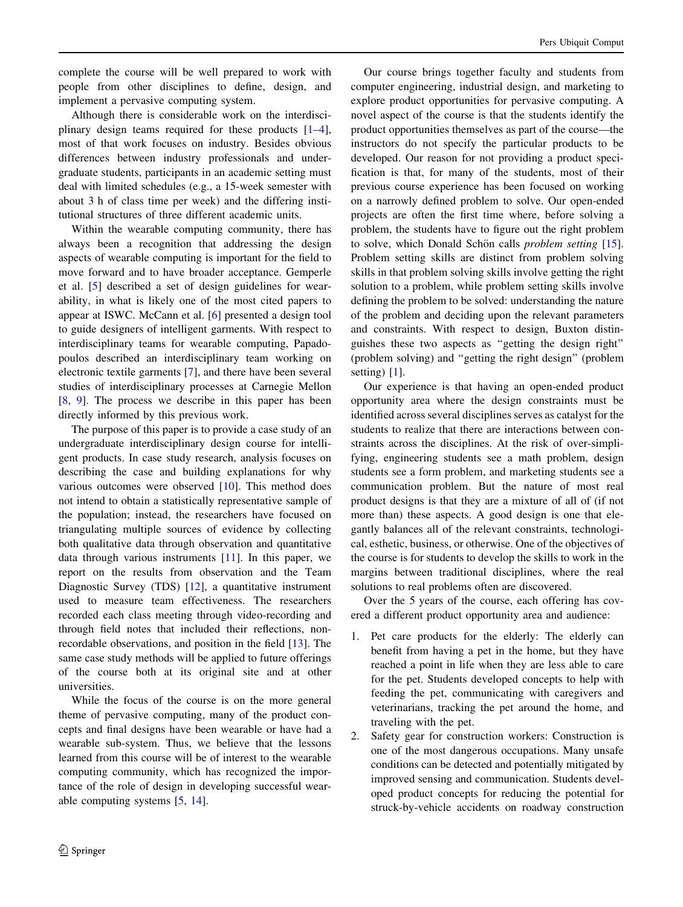complete the course will be well prepared to work with people from other disciplines to define, design, and implement a pervasive computing system.

Although there is considerable work on the interdisciplinary design teams required for these products [\[1–4](#page-12-0)], most of that work focuses on industry. Besides obvious differences between industry professionals and undergraduate students, participants in an academic setting must deal with limited schedules (e.g., a 15-week semester with about 3 h of class time per week) and the differing institutional structures of three different academic units.

Within the wearable computing community, there has always been a recognition that addressing the design aspects of wearable computing is important for the field to move forward and to have broader acceptance. Gemperle et al. [[5](#page-12-0)] described a set of design guidelines for wearability, in what is likely one of the most cited papers to appear at ISWC. McCann et al. [[6\]](#page-12-0) presented a design tool to guide designers of intelligent garments. With respect to interdisciplinary teams for wearable computing, Papadopoulos described an interdisciplinary team working on electronic textile garments [[7](#page-12-0)], and there have been several studies of interdisciplinary processes at Carnegie Mellon [\[8](#page-12-0), [9\]](#page-12-0). The process we describe in this paper has been directly informed by this previous work.

The purpose of this paper is to provide a case study of an undergraduate interdisciplinary design course for intelligent products. In case study research, analysis focuses on describing the case and building explanations for why various outcomes were observed [[10\]](#page-13-0). This method does not intend to obtain a statistically representative sample of the population; instead, the researchers have focused on triangulating multiple sources of evidence by collecting both qualitative data through observation and quantitative data through various instruments [\[11](#page-13-0)]. In this paper, we report on the results from observation and the Team Diagnostic Survey (TDS) [\[12](#page-13-0)], a quantitative instrument used to measure team effectiveness. The researchers recorded each class meeting through video-recording and through field notes that included their reflections, nonrecordable observations, and position in the field [[13\]](#page-13-0). The same case study methods will be applied to future offerings of the course both at its original site and at other universities.

While the focus of the course is on the more general theme of pervasive computing, many of the product concepts and final designs have been wearable or have had a wearable sub-system. Thus, we believe that the lessons learned from this course will be of interest to the wearable computing community, which has recognized the importance of the role of design in developing successful wearable computing systems [[5](#page-12-0), [14](#page-13-0)].

Our course brings together faculty and students from computer engineering, industrial design, and marketing to explore product opportunities for pervasive computing. A novel aspect of the course is that the students identify the product opportunities themselves as part of the course—the instructors do not specify the particular products to be developed. Our reason for not providing a product specification is that, for many of the students, most of their previous course experience has been focused on working on a narrowly defined problem to solve. Our open-ended projects are often the first time where, before solving a problem, the students have to figure out the right problem to solve, which Donald Schön calls *problem setting* [\[15](#page-13-0)]. Problem setting skills are distinct from problem solving skills in that problem solving skills involve getting the right solution to a problem, while problem setting skills involve defining the problem to be solved: understanding the nature of the problem and deciding upon the relevant parameters and constraints. With respect to design, Buxton distinguishes these two aspects as ''getting the design right'' (problem solving) and ''getting the right design'' (problem setting)  $[1]$  $[1]$ .

Our experience is that having an open-ended product opportunity area where the design constraints must be identified across several disciplines serves as catalyst for the students to realize that there are interactions between constraints across the disciplines. At the risk of over-simplifying, engineering students see a math problem, design students see a form problem, and marketing students see a communication problem. But the nature of most real product designs is that they are a mixture of all of (if not more than) these aspects. A good design is one that elegantly balances all of the relevant constraints, technological, esthetic, business, or otherwise. One of the objectives of the course is for students to develop the skills to work in the margins between traditional disciplines, where the real solutions to real problems often are discovered.

Over the 5 years of the course, each offering has covered a different product opportunity area and audience:

- 1. Pet care products for the elderly: The elderly can benefit from having a pet in the home, but they have reached a point in life when they are less able to care for the pet. Students developed concepts to help with feeding the pet, communicating with caregivers and veterinarians, tracking the pet around the home, and traveling with the pet.
- 2. Safety gear for construction workers: Construction is one of the most dangerous occupations. Many unsafe conditions can be detected and potentially mitigated by improved sensing and communication. Students developed product concepts for reducing the potential for struck-by-vehicle accidents on roadway construction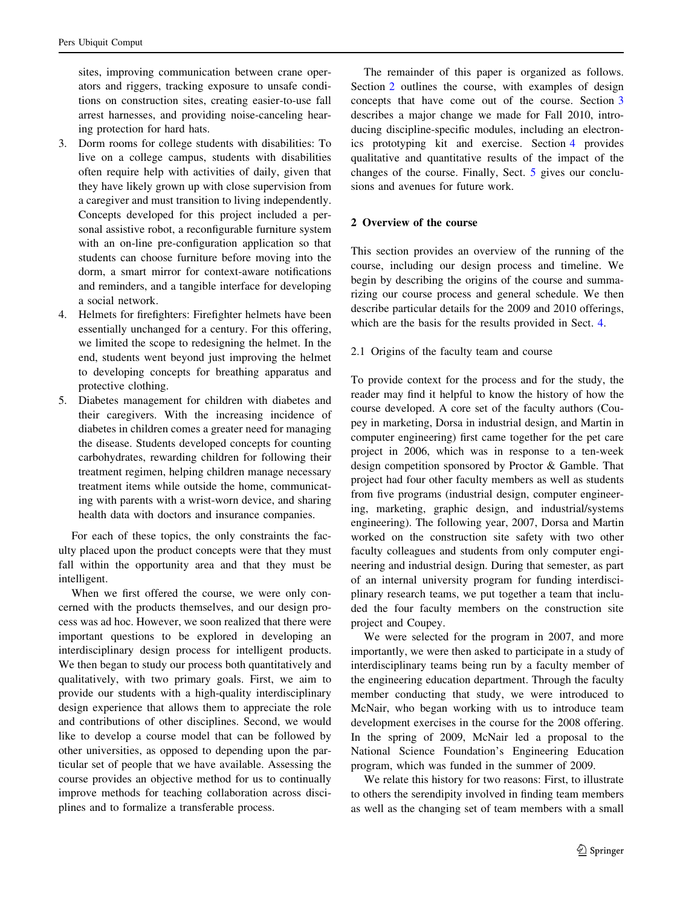sites, improving communication between crane operators and riggers, tracking exposure to unsafe conditions on construction sites, creating easier-to-use fall arrest harnesses, and providing noise-canceling hearing protection for hard hats.

- 3. Dorm rooms for college students with disabilities: To live on a college campus, students with disabilities often require help with activities of daily, given that they have likely grown up with close supervision from a caregiver and must transition to living independently. Concepts developed for this project included a personal assistive robot, a reconfigurable furniture system with an on-line pre-configuration application so that students can choose furniture before moving into the dorm, a smart mirror for context-aware notifications and reminders, and a tangible interface for developing a social network.
- 4. Helmets for firefighters: Firefighter helmets have been essentially unchanged for a century. For this offering, we limited the scope to redesigning the helmet. In the end, students went beyond just improving the helmet to developing concepts for breathing apparatus and protective clothing.
- 5. Diabetes management for children with diabetes and their caregivers. With the increasing incidence of diabetes in children comes a greater need for managing the disease. Students developed concepts for counting carbohydrates, rewarding children for following their treatment regimen, helping children manage necessary treatment items while outside the home, communicating with parents with a wrist-worn device, and sharing health data with doctors and insurance companies.

For each of these topics, the only constraints the faculty placed upon the product concepts were that they must fall within the opportunity area and that they must be intelligent.

When we first offered the course, we were only concerned with the products themselves, and our design process was ad hoc. However, we soon realized that there were important questions to be explored in developing an interdisciplinary design process for intelligent products. We then began to study our process both quantitatively and qualitatively, with two primary goals. First, we aim to provide our students with a high-quality interdisciplinary design experience that allows them to appreciate the role and contributions of other disciplines. Second, we would like to develop a course model that can be followed by other universities, as opposed to depending upon the particular set of people that we have available. Assessing the course provides an objective method for us to continually improve methods for teaching collaboration across disciplines and to formalize a transferable process.

The remainder of this paper is organized as follows. Section 2 outlines the course, with examples of design concepts that have come out of the course. Section [3](#page-5-0) describes a major change we made for Fall 2010, introducing discipline-specific modules, including an electronics prototyping kit and exercise. Section [4](#page-8-0) provides qualitative and quantitative results of the impact of the changes of the course. Finally, Sect. [5](#page-12-0) gives our conclusions and avenues for future work.

# 2 Overview of the course

This section provides an overview of the running of the course, including our design process and timeline. We begin by describing the origins of the course and summarizing our course process and general schedule. We then describe particular details for the 2009 and 2010 offerings, which are the basis for the results provided in Sect. [4](#page-8-0).

# 2.1 Origins of the faculty team and course

To provide context for the process and for the study, the reader may find it helpful to know the history of how the course developed. A core set of the faculty authors (Coupey in marketing, Dorsa in industrial design, and Martin in computer engineering) first came together for the pet care project in 2006, which was in response to a ten-week design competition sponsored by Proctor & Gamble. That project had four other faculty members as well as students from five programs (industrial design, computer engineering, marketing, graphic design, and industrial/systems engineering). The following year, 2007, Dorsa and Martin worked on the construction site safety with two other faculty colleagues and students from only computer engineering and industrial design. During that semester, as part of an internal university program for funding interdisciplinary research teams, we put together a team that included the four faculty members on the construction site project and Coupey.

We were selected for the program in 2007, and more importantly, we were then asked to participate in a study of interdisciplinary teams being run by a faculty member of the engineering education department. Through the faculty member conducting that study, we were introduced to McNair, who began working with us to introduce team development exercises in the course for the 2008 offering. In the spring of 2009, McNair led a proposal to the National Science Foundation's Engineering Education program, which was funded in the summer of 2009.

We relate this history for two reasons: First, to illustrate to others the serendipity involved in finding team members as well as the changing set of team members with a small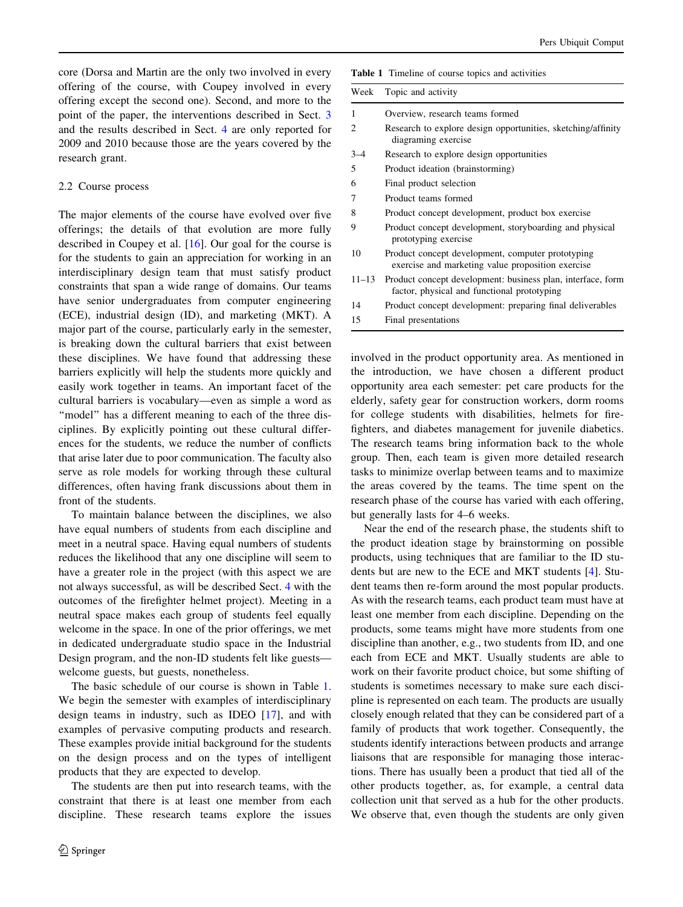core (Dorsa and Martin are the only two involved in every offering of the course, with Coupey involved in every offering except the second one). Second, and more to the point of the paper, the interventions described in Sect. [3](#page-5-0) and the results described in Sect. [4](#page-8-0) are only reported for 2009 and 2010 because those are the years covered by the research grant.

## 2.2 Course process

The major elements of the course have evolved over five offerings; the details of that evolution are more fully described in Coupey et al. [[16\]](#page-13-0). Our goal for the course is for the students to gain an appreciation for working in an interdisciplinary design team that must satisfy product constraints that span a wide range of domains. Our teams have senior undergraduates from computer engineering (ECE), industrial design (ID), and marketing (MKT). A major part of the course, particularly early in the semester, is breaking down the cultural barriers that exist between these disciplines. We have found that addressing these barriers explicitly will help the students more quickly and easily work together in teams. An important facet of the cultural barriers is vocabulary—even as simple a word as "model" has a different meaning to each of the three disciplines. By explicitly pointing out these cultural differences for the students, we reduce the number of conflicts that arise later due to poor communication. The faculty also serve as role models for working through these cultural differences, often having frank discussions about them in front of the students.

To maintain balance between the disciplines, we also have equal numbers of students from each discipline and meet in a neutral space. Having equal numbers of students reduces the likelihood that any one discipline will seem to have a greater role in the project (with this aspect we are not always successful, as will be described Sect. [4](#page-8-0) with the outcomes of the firefighter helmet project). Meeting in a neutral space makes each group of students feel equally welcome in the space. In one of the prior offerings, we met in dedicated undergraduate studio space in the Industrial Design program, and the non-ID students felt like guests welcome guests, but guests, nonetheless.

The basic schedule of our course is shown in Table 1. We begin the semester with examples of interdisciplinary design teams in industry, such as IDEO [\[17](#page-13-0)], and with examples of pervasive computing products and research. These examples provide initial background for the students on the design process and on the types of intelligent products that they are expected to develop.

The students are then put into research teams, with the constraint that there is at least one member from each discipline. These research teams explore the issues Table 1 Timeline of course topics and activities

| Week           | Topic and activity                                                                                         |
|----------------|------------------------------------------------------------------------------------------------------------|
| 1              | Overview, research teams formed                                                                            |
| $\mathfrak{D}$ | Research to explore design opportunities, sketching/affinity<br>diagraming exercise                        |
| $3 - 4$        | Research to explore design opportunities                                                                   |
| 5              | Product ideation (brainstorming)                                                                           |
| 6              | Final product selection                                                                                    |
| 7              | Product teams formed                                                                                       |
| 8              | Product concept development, product box exercise                                                          |
| 9              | Product concept development, storyboarding and physical<br>prototyping exercise                            |
| 10             | Product concept development, computer prototyping<br>exercise and marketing value proposition exercise     |
| $11 - 13$      | Product concept development: business plan, interface, form<br>factor, physical and functional prototyping |
| 14             | Product concept development: preparing final deliverables                                                  |
| 15             | Final presentations                                                                                        |

involved in the product opportunity area. As mentioned in the introduction, we have chosen a different product opportunity area each semester: pet care products for the elderly, safety gear for construction workers, dorm rooms for college students with disabilities, helmets for firefighters, and diabetes management for juvenile diabetics. The research teams bring information back to the whole group. Then, each team is given more detailed research tasks to minimize overlap between teams and to maximize the areas covered by the teams. The time spent on the research phase of the course has varied with each offering, but generally lasts for 4–6 weeks.

Near the end of the research phase, the students shift to the product ideation stage by brainstorming on possible products, using techniques that are familiar to the ID students but are new to the ECE and MKT students [[4\]](#page-12-0). Student teams then re-form around the most popular products. As with the research teams, each product team must have at least one member from each discipline. Depending on the products, some teams might have more students from one discipline than another, e.g., two students from ID, and one each from ECE and MKT. Usually students are able to work on their favorite product choice, but some shifting of students is sometimes necessary to make sure each discipline is represented on each team. The products are usually closely enough related that they can be considered part of a family of products that work together. Consequently, the students identify interactions between products and arrange liaisons that are responsible for managing those interactions. There has usually been a product that tied all of the other products together, as, for example, a central data collection unit that served as a hub for the other products. We observe that, even though the students are only given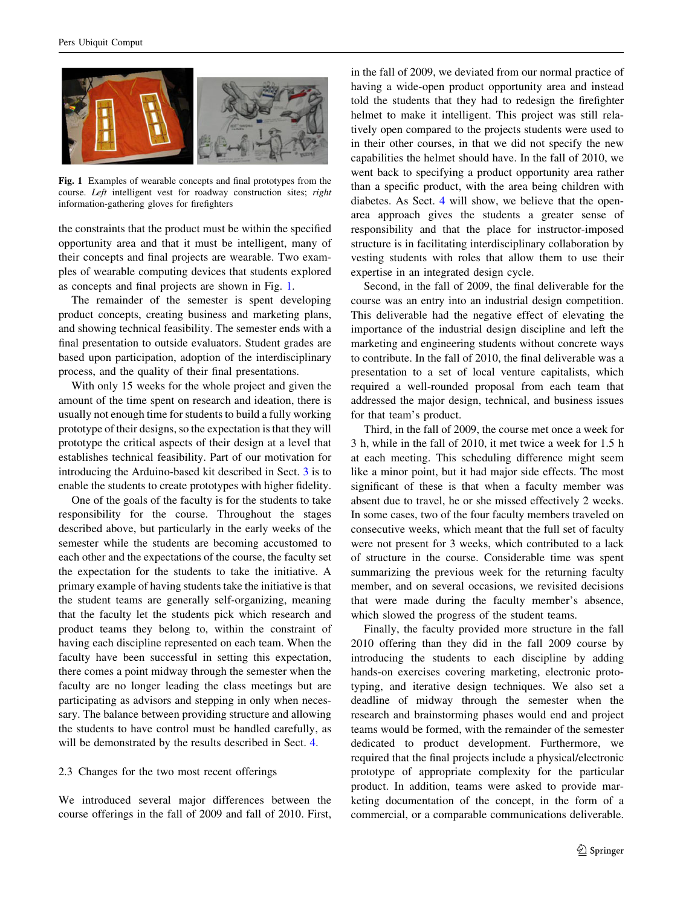<span id="page-4-0"></span>

Fig. 1 Examples of wearable concepts and final prototypes from the course. Left intelligent vest for roadway construction sites; right information-gathering gloves for firefighters

the constraints that the product must be within the specified opportunity area and that it must be intelligent, many of their concepts and final projects are wearable. Two examples of wearable computing devices that students explored as concepts and final projects are shown in Fig. 1.

The remainder of the semester is spent developing product concepts, creating business and marketing plans, and showing technical feasibility. The semester ends with a final presentation to outside evaluators. Student grades are based upon participation, adoption of the interdisciplinary process, and the quality of their final presentations.

With only 15 weeks for the whole project and given the amount of the time spent on research and ideation, there is usually not enough time for students to build a fully working prototype of their designs, so the expectation is that they will prototype the critical aspects of their design at a level that establishes technical feasibility. Part of our motivation for introducing the Arduino-based kit described in Sect. [3](#page-5-0) is to enable the students to create prototypes with higher fidelity.

One of the goals of the faculty is for the students to take responsibility for the course. Throughout the stages described above, but particularly in the early weeks of the semester while the students are becoming accustomed to each other and the expectations of the course, the faculty set the expectation for the students to take the initiative. A primary example of having students take the initiative is that the student teams are generally self-organizing, meaning that the faculty let the students pick which research and product teams they belong to, within the constraint of having each discipline represented on each team. When the faculty have been successful in setting this expectation, there comes a point midway through the semester when the faculty are no longer leading the class meetings but are participating as advisors and stepping in only when necessary. The balance between providing structure and allowing the students to have control must be handled carefully, as will be demonstrated by the results described in Sect. [4](#page-8-0).

# 2.3 Changes for the two most recent offerings

We introduced several major differences between the course offerings in the fall of 2009 and fall of 2010. First, in the fall of 2009, we deviated from our normal practice of having a wide-open product opportunity area and instead told the students that they had to redesign the firefighter helmet to make it intelligent. This project was still relatively open compared to the projects students were used to in their other courses, in that we did not specify the new capabilities the helmet should have. In the fall of 2010, we went back to specifying a product opportunity area rather than a specific product, with the area being children with diabetes. As Sect. [4](#page-8-0) will show, we believe that the openarea approach gives the students a greater sense of responsibility and that the place for instructor-imposed structure is in facilitating interdisciplinary collaboration by vesting students with roles that allow them to use their expertise in an integrated design cycle.

Second, in the fall of 2009, the final deliverable for the course was an entry into an industrial design competition. This deliverable had the negative effect of elevating the importance of the industrial design discipline and left the marketing and engineering students without concrete ways to contribute. In the fall of 2010, the final deliverable was a presentation to a set of local venture capitalists, which required a well-rounded proposal from each team that addressed the major design, technical, and business issues for that team's product.

Third, in the fall of 2009, the course met once a week for 3 h, while in the fall of 2010, it met twice a week for 1.5 h at each meeting. This scheduling difference might seem like a minor point, but it had major side effects. The most significant of these is that when a faculty member was absent due to travel, he or she missed effectively 2 weeks. In some cases, two of the four faculty members traveled on consecutive weeks, which meant that the full set of faculty were not present for 3 weeks, which contributed to a lack of structure in the course. Considerable time was spent summarizing the previous week for the returning faculty member, and on several occasions, we revisited decisions that were made during the faculty member's absence, which slowed the progress of the student teams.

Finally, the faculty provided more structure in the fall 2010 offering than they did in the fall 2009 course by introducing the students to each discipline by adding hands-on exercises covering marketing, electronic prototyping, and iterative design techniques. We also set a deadline of midway through the semester when the research and brainstorming phases would end and project teams would be formed, with the remainder of the semester dedicated to product development. Furthermore, we required that the final projects include a physical/electronic prototype of appropriate complexity for the particular product. In addition, teams were asked to provide marketing documentation of the concept, in the form of a commercial, or a comparable communications deliverable.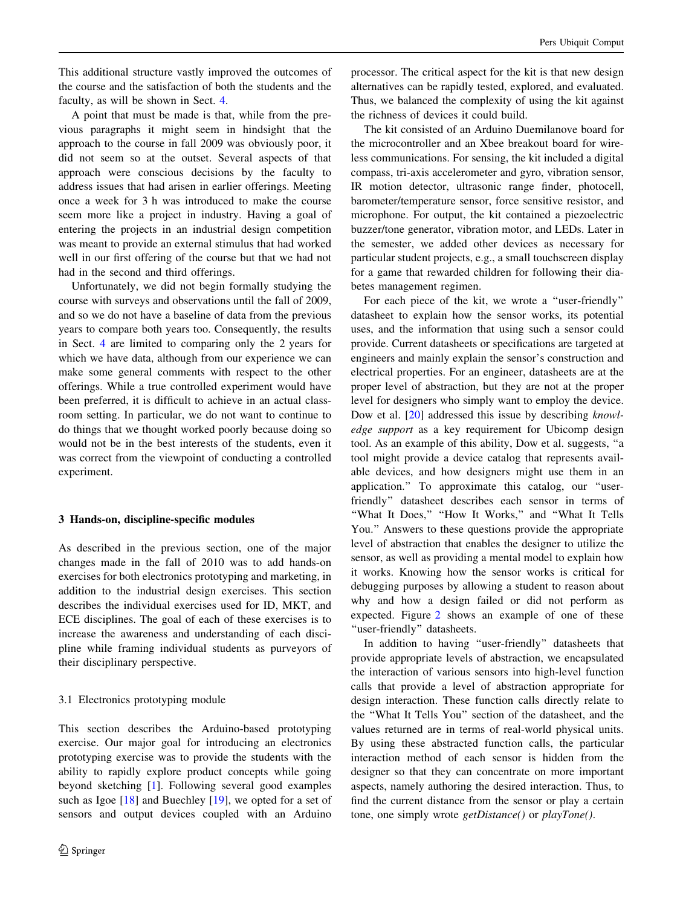<span id="page-5-0"></span>This additional structure vastly improved the outcomes of the course and the satisfaction of both the students and the faculty, as will be shown in Sect. [4.](#page-8-0)

A point that must be made is that, while from the previous paragraphs it might seem in hindsight that the approach to the course in fall 2009 was obviously poor, it did not seem so at the outset. Several aspects of that approach were conscious decisions by the faculty to address issues that had arisen in earlier offerings. Meeting once a week for 3 h was introduced to make the course seem more like a project in industry. Having a goal of entering the projects in an industrial design competition was meant to provide an external stimulus that had worked well in our first offering of the course but that we had not had in the second and third offerings.

Unfortunately, we did not begin formally studying the course with surveys and observations until the fall of 2009, and so we do not have a baseline of data from the previous years to compare both years too. Consequently, the results in Sect. [4](#page-8-0) are limited to comparing only the 2 years for which we have data, although from our experience we can make some general comments with respect to the other offerings. While a true controlled experiment would have been preferred, it is difficult to achieve in an actual classroom setting. In particular, we do not want to continue to do things that we thought worked poorly because doing so would not be in the best interests of the students, even it was correct from the viewpoint of conducting a controlled experiment.

#### 3 Hands-on, discipline-specific modules

As described in the previous section, one of the major changes made in the fall of 2010 was to add hands-on exercises for both electronics prototyping and marketing, in addition to the industrial design exercises. This section describes the individual exercises used for ID, MKT, and ECE disciplines. The goal of each of these exercises is to increase the awareness and understanding of each discipline while framing individual students as purveyors of their disciplinary perspective.

## 3.1 Electronics prototyping module

This section describes the Arduino-based prototyping exercise. Our major goal for introducing an electronics prototyping exercise was to provide the students with the ability to rapidly explore product concepts while going beyond sketching [[1\]](#page-12-0). Following several good examples such as Igoe [[18\]](#page-13-0) and Buechley [[19\]](#page-13-0), we opted for a set of sensors and output devices coupled with an Arduino

processor. The critical aspect for the kit is that new design alternatives can be rapidly tested, explored, and evaluated. Thus, we balanced the complexity of using the kit against the richness of devices it could build.

The kit consisted of an Arduino Duemilanove board for the microcontroller and an Xbee breakout board for wireless communications. For sensing, the kit included a digital compass, tri-axis accelerometer and gyro, vibration sensor, IR motion detector, ultrasonic range finder, photocell, barometer/temperature sensor, force sensitive resistor, and microphone. For output, the kit contained a piezoelectric buzzer/tone generator, vibration motor, and LEDs. Later in the semester, we added other devices as necessary for particular student projects, e.g., a small touchscreen display for a game that rewarded children for following their diabetes management regimen.

For each piece of the kit, we wrote a ''user-friendly'' datasheet to explain how the sensor works, its potential uses, and the information that using such a sensor could provide. Current datasheets or specifications are targeted at engineers and mainly explain the sensor's construction and electrical properties. For an engineer, datasheets are at the proper level of abstraction, but they are not at the proper level for designers who simply want to employ the device. Dow et al. [[20\]](#page-13-0) addressed this issue by describing *knowl*edge support as a key requirement for Ubicomp design tool. As an example of this ability, Dow et al. suggests, ''a tool might provide a device catalog that represents available devices, and how designers might use them in an application.'' To approximate this catalog, our ''userfriendly'' datasheet describes each sensor in terms of ''What It Does,'' ''How It Works,'' and ''What It Tells You.'' Answers to these questions provide the appropriate level of abstraction that enables the designer to utilize the sensor, as well as providing a mental model to explain how it works. Knowing how the sensor works is critical for debugging purposes by allowing a student to reason about why and how a design failed or did not perform as expected. Figure [2](#page-6-0) shows an example of one of these ''user-friendly'' datasheets.

In addition to having ''user-friendly'' datasheets that provide appropriate levels of abstraction, we encapsulated the interaction of various sensors into high-level function calls that provide a level of abstraction appropriate for design interaction. These function calls directly relate to the ''What It Tells You'' section of the datasheet, and the values returned are in terms of real-world physical units. By using these abstracted function calls, the particular interaction method of each sensor is hidden from the designer so that they can concentrate on more important aspects, namely authoring the desired interaction. Thus, to find the current distance from the sensor or play a certain tone, one simply wrote getDistance() or playTone().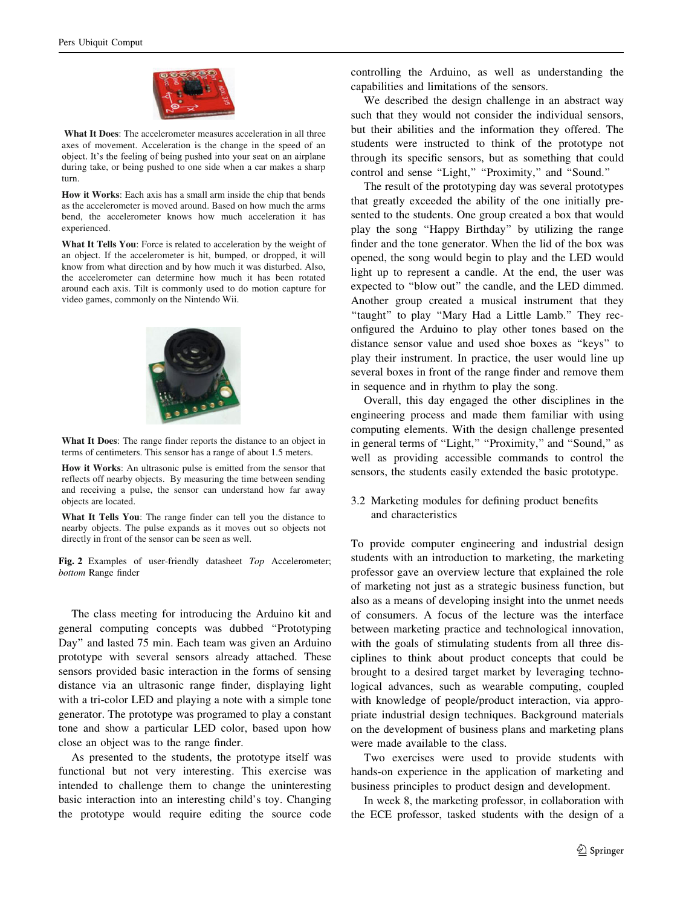

<span id="page-6-0"></span>**What It Does**: The accelerometer measures acceleration in all three axes of movement. Acceleration is the change in the speed of an object. It's the feeling of being pushed into your seat on an airplane during take, or being pushed to one side when a car makes a sharp turn.

**How it Works**: Each axis has a small arm inside the chip that bends as the accelerometer is moved around. Based on how much the arms bend, the accelerometer knows how much acceleration it has experienced.

**What It Tells You**: Force is related to acceleration by the weight of an object. If the accelerometer is hit, bumped, or dropped, it will know from what direction and by how much it was disturbed. Also, the accelerometer can determine how much it has been rotated around each axis. Tilt is commonly used to do motion capture for video games, commonly on the Nintendo Wii.



**What It Does**: The range finder reports the distance to an object in terms of centimeters. This sensor has a range of about 1.5 meters.

**How it Works**: An ultrasonic pulse is emitted from the sensor that reflects off nearby objects. By measuring the time between sending and receiving a pulse, the sensor can understand how far away objects are located.

**What It Tells You**: The range finder can tell you the distance to nearby objects. The pulse expands as it moves out so objects not directly in front of the sensor can be seen as well.

Fig. 2 Examples of user-friendly datasheet Top Accelerometer; bottom Range finder

The class meeting for introducing the Arduino kit and general computing concepts was dubbed ''Prototyping Day'' and lasted 75 min. Each team was given an Arduino prototype with several sensors already attached. These sensors provided basic interaction in the forms of sensing distance via an ultrasonic range finder, displaying light with a tri-color LED and playing a note with a simple tone generator. The prototype was programed to play a constant tone and show a particular LED color, based upon how close an object was to the range finder.

As presented to the students, the prototype itself was functional but not very interesting. This exercise was intended to challenge them to change the uninteresting basic interaction into an interesting child's toy. Changing the prototype would require editing the source code controlling the Arduino, as well as understanding the capabilities and limitations of the sensors.

We described the design challenge in an abstract way such that they would not consider the individual sensors, but their abilities and the information they offered. The students were instructed to think of the prototype not through its specific sensors, but as something that could control and sense "Light," "Proximity," and "Sound."

The result of the prototyping day was several prototypes that greatly exceeded the ability of the one initially presented to the students. One group created a box that would play the song ''Happy Birthday'' by utilizing the range finder and the tone generator. When the lid of the box was opened, the song would begin to play and the LED would light up to represent a candle. At the end, the user was expected to ''blow out'' the candle, and the LED dimmed. Another group created a musical instrument that they "taught" to play "Mary Had a Little Lamb." They reconfigured the Arduino to play other tones based on the distance sensor value and used shoe boxes as ''keys'' to play their instrument. In practice, the user would line up several boxes in front of the range finder and remove them in sequence and in rhythm to play the song.

Overall, this day engaged the other disciplines in the engineering process and made them familiar with using computing elements. With the design challenge presented in general terms of "Light," "Proximity," and "Sound," as well as providing accessible commands to control the sensors, the students easily extended the basic prototype.

# 3.2 Marketing modules for defining product benefits and characteristics

To provide computer engineering and industrial design students with an introduction to marketing, the marketing professor gave an overview lecture that explained the role of marketing not just as a strategic business function, but also as a means of developing insight into the unmet needs of consumers. A focus of the lecture was the interface between marketing practice and technological innovation, with the goals of stimulating students from all three disciplines to think about product concepts that could be brought to a desired target market by leveraging technological advances, such as wearable computing, coupled with knowledge of people/product interaction, via appropriate industrial design techniques. Background materials on the development of business plans and marketing plans were made available to the class.

Two exercises were used to provide students with hands-on experience in the application of marketing and business principles to product design and development.

In week 8, the marketing professor, in collaboration with the ECE professor, tasked students with the design of a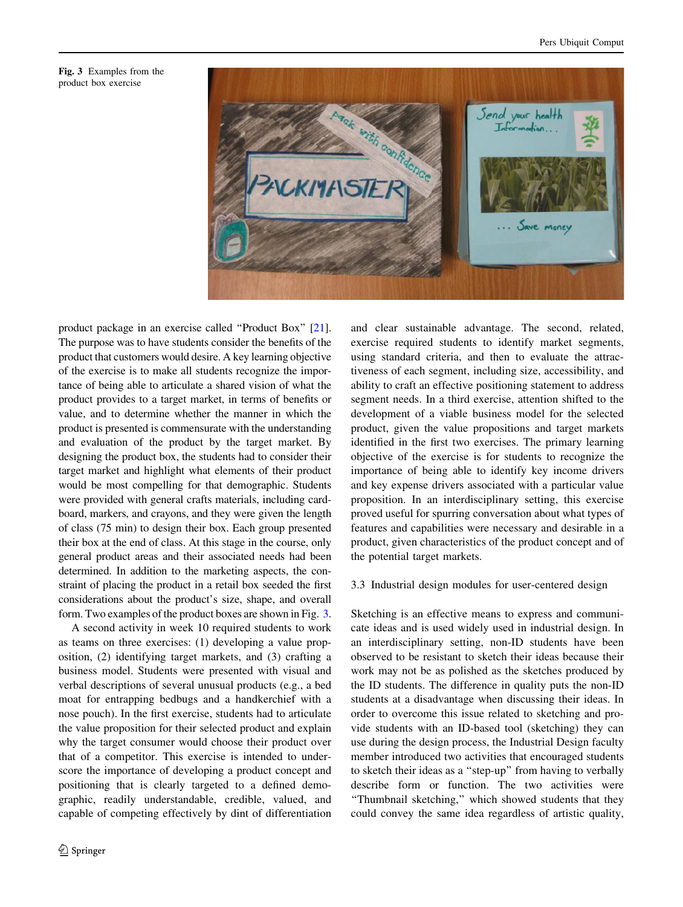Fig. 3 Examples from the product box exercise



product package in an exercise called ''Product Box'' [[21](#page-13-0)]. The purpose was to have students consider the benefits of the product that customers would desire. A key learning objective of the exercise is to make all students recognize the importance of being able to articulate a shared vision of what the product provides to a target market, in terms of benefits or value, and to determine whether the manner in which the product is presented is commensurate with the understanding and evaluation of the product by the target market. By designing the product box, the students had to consider their target market and highlight what elements of their product would be most compelling for that demographic. Students were provided with general crafts materials, including cardboard, markers, and crayons, and they were given the length of class (75 min) to design their box. Each group presented their box at the end of class. At this stage in the course, only general product areas and their associated needs had been determined. In addition to the marketing aspects, the constraint of placing the product in a retail box seeded the first considerations about the product's size, shape, and overall form. Two examples of the product boxes are shown in Fig. 3.

A second activity in week 10 required students to work as teams on three exercises: (1) developing a value proposition, (2) identifying target markets, and (3) crafting a business model. Students were presented with visual and verbal descriptions of several unusual products (e.g., a bed moat for entrapping bedbugs and a handkerchief with a nose pouch). In the first exercise, students had to articulate the value proposition for their selected product and explain why the target consumer would choose their product over that of a competitor. This exercise is intended to underscore the importance of developing a product concept and positioning that is clearly targeted to a defined demographic, readily understandable, credible, valued, and capable of competing effectively by dint of differentiation

and clear sustainable advantage. The second, related, exercise required students to identify market segments, using standard criteria, and then to evaluate the attractiveness of each segment, including size, accessibility, and ability to craft an effective positioning statement to address segment needs. In a third exercise, attention shifted to the development of a viable business model for the selected product, given the value propositions and target markets identified in the first two exercises. The primary learning objective of the exercise is for students to recognize the importance of being able to identify key income drivers and key expense drivers associated with a particular value proposition. In an interdisciplinary setting, this exercise proved useful for spurring conversation about what types of features and capabilities were necessary and desirable in a product, given characteristics of the product concept and of the potential target markets.

#### 3.3 Industrial design modules for user-centered design

Sketching is an effective means to express and communicate ideas and is used widely used in industrial design. In an interdisciplinary setting, non-ID students have been observed to be resistant to sketch their ideas because their work may not be as polished as the sketches produced by the ID students. The difference in quality puts the non-ID students at a disadvantage when discussing their ideas. In order to overcome this issue related to sketching and provide students with an ID-based tool (sketching) they can use during the design process, the Industrial Design faculty member introduced two activities that encouraged students to sketch their ideas as a ''step-up'' from having to verbally describe form or function. The two activities were ''Thumbnail sketching,'' which showed students that they could convey the same idea regardless of artistic quality,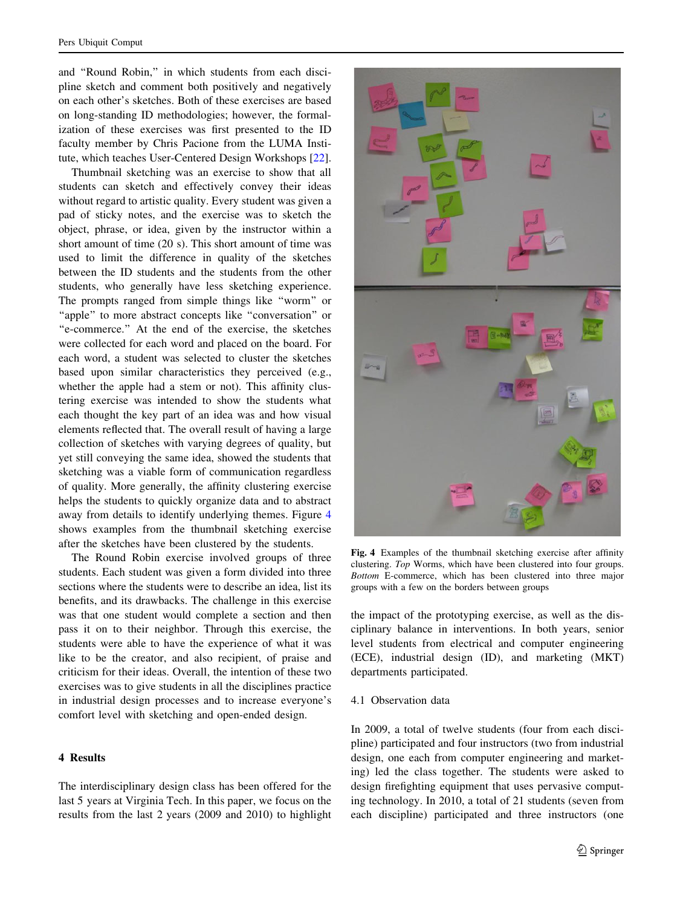<span id="page-8-0"></span>and ''Round Robin,'' in which students from each discipline sketch and comment both positively and negatively on each other's sketches. Both of these exercises are based on long-standing ID methodologies; however, the formalization of these exercises was first presented to the ID faculty member by Chris Pacione from the LUMA Institute, which teaches User-Centered Design Workshops [\[22](#page-13-0)].

Thumbnail sketching was an exercise to show that all students can sketch and effectively convey their ideas without regard to artistic quality. Every student was given a pad of sticky notes, and the exercise was to sketch the object, phrase, or idea, given by the instructor within a short amount of time (20 s). This short amount of time was used to limit the difference in quality of the sketches between the ID students and the students from the other students, who generally have less sketching experience. The prompts ranged from simple things like ''worm'' or "apple" to more abstract concepts like "conversation" or ''e-commerce.'' At the end of the exercise, the sketches were collected for each word and placed on the board. For each word, a student was selected to cluster the sketches based upon similar characteristics they perceived (e.g., whether the apple had a stem or not). This affinity clustering exercise was intended to show the students what each thought the key part of an idea was and how visual elements reflected that. The overall result of having a large collection of sketches with varying degrees of quality, but yet still conveying the same idea, showed the students that sketching was a viable form of communication regardless of quality. More generally, the affinity clustering exercise helps the students to quickly organize data and to abstract away from details to identify underlying themes. Figure 4 shows examples from the thumbnail sketching exercise after the sketches have been clustered by the students.

The Round Robin exercise involved groups of three students. Each student was given a form divided into three sections where the students were to describe an idea, list its benefits, and its drawbacks. The challenge in this exercise was that one student would complete a section and then pass it on to their neighbor. Through this exercise, the students were able to have the experience of what it was like to be the creator, and also recipient, of praise and criticism for their ideas. Overall, the intention of these two exercises was to give students in all the disciplines practice in industrial design processes and to increase everyone's comfort level with sketching and open-ended design.

## 4 Results

The interdisciplinary design class has been offered for the last 5 years at Virginia Tech. In this paper, we focus on the results from the last 2 years (2009 and 2010) to highlight



Fig. 4 Examples of the thumbnail sketching exercise after affinity clustering. Top Worms, which have been clustered into four groups. Bottom E-commerce, which has been clustered into three major groups with a few on the borders between groups

the impact of the prototyping exercise, as well as the disciplinary balance in interventions. In both years, senior level students from electrical and computer engineering (ECE), industrial design (ID), and marketing (MKT) departments participated.

## 4.1 Observation data

In 2009, a total of twelve students (four from each discipline) participated and four instructors (two from industrial design, one each from computer engineering and marketing) led the class together. The students were asked to design firefighting equipment that uses pervasive computing technology. In 2010, a total of 21 students (seven from each discipline) participated and three instructors (one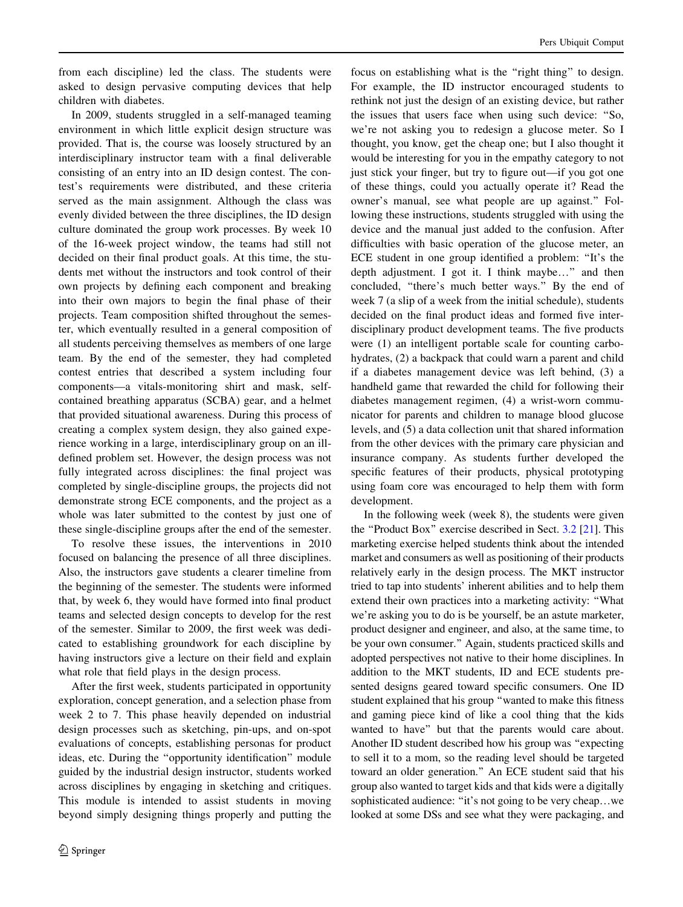from each discipline) led the class. The students were asked to design pervasive computing devices that help children with diabetes.

In 2009, students struggled in a self-managed teaming environment in which little explicit design structure was provided. That is, the course was loosely structured by an interdisciplinary instructor team with a final deliverable consisting of an entry into an ID design contest. The contest's requirements were distributed, and these criteria served as the main assignment. Although the class was evenly divided between the three disciplines, the ID design culture dominated the group work processes. By week 10 of the 16-week project window, the teams had still not decided on their final product goals. At this time, the students met without the instructors and took control of their own projects by defining each component and breaking into their own majors to begin the final phase of their projects. Team composition shifted throughout the semester, which eventually resulted in a general composition of all students perceiving themselves as members of one large team. By the end of the semester, they had completed contest entries that described a system including four components—a vitals-monitoring shirt and mask, selfcontained breathing apparatus (SCBA) gear, and a helmet that provided situational awareness. During this process of creating a complex system design, they also gained experience working in a large, interdisciplinary group on an illdefined problem set. However, the design process was not fully integrated across disciplines: the final project was completed by single-discipline groups, the projects did not demonstrate strong ECE components, and the project as a whole was later submitted to the contest by just one of these single-discipline groups after the end of the semester.

To resolve these issues, the interventions in 2010 focused on balancing the presence of all three disciplines. Also, the instructors gave students a clearer timeline from the beginning of the semester. The students were informed that, by week 6, they would have formed into final product teams and selected design concepts to develop for the rest of the semester. Similar to 2009, the first week was dedicated to establishing groundwork for each discipline by having instructors give a lecture on their field and explain what role that field plays in the design process.

After the first week, students participated in opportunity exploration, concept generation, and a selection phase from week 2 to 7. This phase heavily depended on industrial design processes such as sketching, pin-ups, and on-spot evaluations of concepts, establishing personas for product ideas, etc. During the ''opportunity identification'' module guided by the industrial design instructor, students worked across disciplines by engaging in sketching and critiques. This module is intended to assist students in moving beyond simply designing things properly and putting the focus on establishing what is the "right thing" to design. For example, the ID instructor encouraged students to rethink not just the design of an existing device, but rather the issues that users face when using such device: ''So, we're not asking you to redesign a glucose meter. So I thought, you know, get the cheap one; but I also thought it would be interesting for you in the empathy category to not just stick your finger, but try to figure out—if you got one of these things, could you actually operate it? Read the owner's manual, see what people are up against.'' Following these instructions, students struggled with using the device and the manual just added to the confusion. After difficulties with basic operation of the glucose meter, an ECE student in one group identified a problem: ''It's the depth adjustment. I got it. I think maybe…'' and then concluded, ''there's much better ways.'' By the end of week 7 (a slip of a week from the initial schedule), students decided on the final product ideas and formed five interdisciplinary product development teams. The five products were (1) an intelligent portable scale for counting carbohydrates, (2) a backpack that could warn a parent and child if a diabetes management device was left behind, (3) a handheld game that rewarded the child for following their diabetes management regimen, (4) a wrist-worn communicator for parents and children to manage blood glucose levels, and (5) a data collection unit that shared information from the other devices with the primary care physician and insurance company. As students further developed the specific features of their products, physical prototyping using foam core was encouraged to help them with form development.

In the following week (week 8), the students were given the ''Product Box'' exercise described in Sect. [3.2](#page-6-0) [[21](#page-13-0)]. This marketing exercise helped students think about the intended market and consumers as well as positioning of their products relatively early in the design process. The MKT instructor tried to tap into students' inherent abilities and to help them extend their own practices into a marketing activity: ''What we're asking you to do is be yourself, be an astute marketer, product designer and engineer, and also, at the same time, to be your own consumer.'' Again, students practiced skills and adopted perspectives not native to their home disciplines. In addition to the MKT students, ID and ECE students presented designs geared toward specific consumers. One ID student explained that his group ''wanted to make this fitness and gaming piece kind of like a cool thing that the kids wanted to have'' but that the parents would care about. Another ID student described how his group was ''expecting to sell it to a mom, so the reading level should be targeted toward an older generation.'' An ECE student said that his group also wanted to target kids and that kids were a digitally sophisticated audience: "it's not going to be very cheap...we looked at some DSs and see what they were packaging, and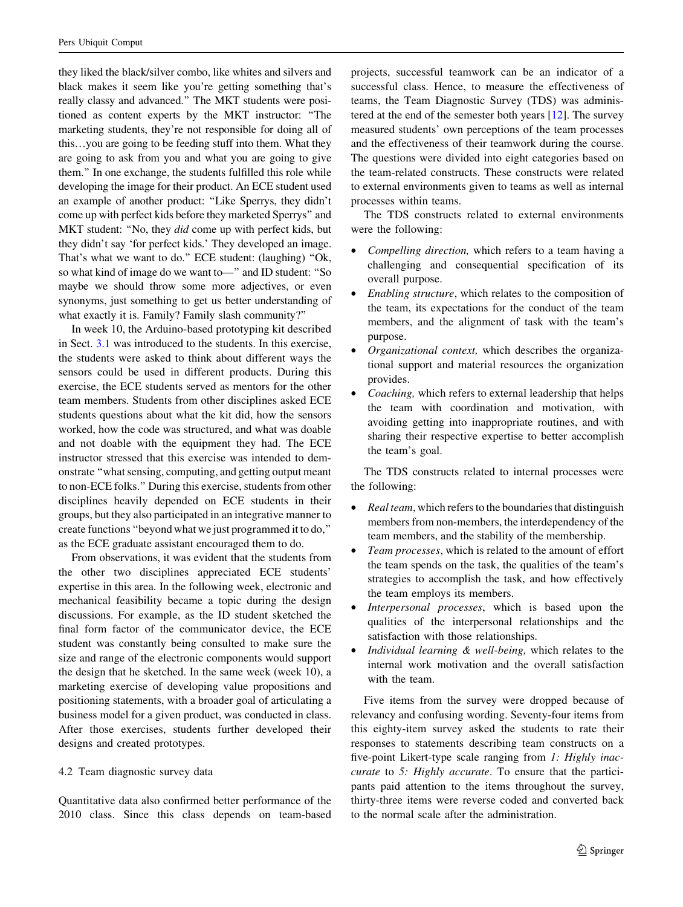they liked the black/silver combo, like whites and silvers and black makes it seem like you're getting something that's really classy and advanced.'' The MKT students were positioned as content experts by the MKT instructor: ''The marketing students, they're not responsible for doing all of this…you are going to be feeding stuff into them. What they are going to ask from you and what you are going to give them.'' In one exchange, the students fulfilled this role while developing the image for their product. An ECE student used an example of another product: ''Like Sperrys, they didn't come up with perfect kids before they marketed Sperrys'' and MKT student: "No, they *did* come up with perfect kids, but they didn't say 'for perfect kids.' They developed an image. That's what we want to do.'' ECE student: (laughing) ''Ok, so what kind of image do we want to—'' and ID student: ''So maybe we should throw some more adjectives, or even synonyms, just something to get us better understanding of what exactly it is. Family? Family slash community?''

In week 10, the Arduino-based prototyping kit described in Sect. [3.1](#page-5-0) was introduced to the students. In this exercise, the students were asked to think about different ways the sensors could be used in different products. During this exercise, the ECE students served as mentors for the other team members. Students from other disciplines asked ECE students questions about what the kit did, how the sensors worked, how the code was structured, and what was doable and not doable with the equipment they had. The ECE instructor stressed that this exercise was intended to demonstrate ''what sensing, computing, and getting output meant to non-ECE folks.'' During this exercise, students from other disciplines heavily depended on ECE students in their groups, but they also participated in an integrative manner to create functions ''beyond what we just programmed it to do,'' as the ECE graduate assistant encouraged them to do.

From observations, it was evident that the students from the other two disciplines appreciated ECE students' expertise in this area. In the following week, electronic and mechanical feasibility became a topic during the design discussions. For example, as the ID student sketched the final form factor of the communicator device, the ECE student was constantly being consulted to make sure the size and range of the electronic components would support the design that he sketched. In the same week (week 10), a marketing exercise of developing value propositions and positioning statements, with a broader goal of articulating a business model for a given product, was conducted in class. After those exercises, students further developed their designs and created prototypes.

## 4.2 Team diagnostic survey data

Quantitative data also confirmed better performance of the 2010 class. Since this class depends on team-based projects, successful teamwork can be an indicator of a successful class. Hence, to measure the effectiveness of teams, the Team Diagnostic Survey (TDS) was administered at the end of the semester both years [\[12](#page-13-0)]. The survey measured students' own perceptions of the team processes and the effectiveness of their teamwork during the course. The questions were divided into eight categories based on the team-related constructs. These constructs were related to external environments given to teams as well as internal processes within teams.

The TDS constructs related to external environments were the following:

- Compelling direction, which refers to a team having a challenging and consequential specification of its overall purpose.
- Enabling structure, which relates to the composition of the team, its expectations for the conduct of the team members, and the alignment of task with the team's purpose.
- Organizational context, which describes the organizational support and material resources the organization provides.
- Coaching, which refers to external leadership that helps the team with coordination and motivation, with avoiding getting into inappropriate routines, and with sharing their respective expertise to better accomplish the team's goal.

The TDS constructs related to internal processes were the following:

- Real team, which refers to the boundaries that distinguish members from non-members, the interdependency of the team members, and the stability of the membership.
- Team processes, which is related to the amount of effort the team spends on the task, the qualities of the team's strategies to accomplish the task, and how effectively the team employs its members.
- Interpersonal processes, which is based upon the qualities of the interpersonal relationships and the satisfaction with those relationships.
- Individual learning & well-being, which relates to the internal work motivation and the overall satisfaction with the team.

Five items from the survey were dropped because of relevancy and confusing wording. Seventy-four items from this eighty-item survey asked the students to rate their responses to statements describing team constructs on a five-point Likert-type scale ranging from 1: Highly inaccurate to 5: Highly accurate. To ensure that the participants paid attention to the items throughout the survey, thirty-three items were reverse coded and converted back to the normal scale after the administration.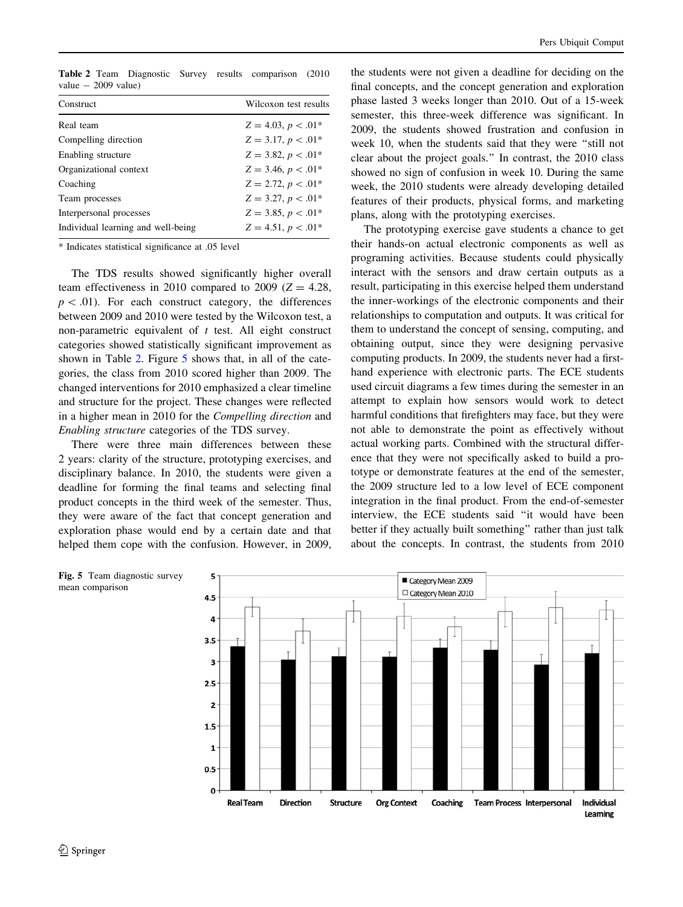Table 2 Team Diagnostic Survey results comparison (2010 value  $-2009$  value)

| Construct                          | Wilcoxon test results |
|------------------------------------|-----------------------|
| Real team                          | $Z = 4.03, p < .01*$  |
| Compelling direction               | $Z = 3.17, p < .01*$  |
| Enabling structure                 | $Z = 3.82, p < .01*$  |
| Organizational context             | $Z = 3.46, p < .01*$  |
| Coaching                           | $Z = 2.72, p < .01*$  |
| Team processes                     | $Z = 3.27, p < .01*$  |
| Interpersonal processes            | $Z = 3.85, p < .01*$  |
| Individual learning and well-being | $Z = 4.51, p < .01*$  |

\* Indicates statistical significance at .05 level

The TDS results showed significantly higher overall team effectiveness in 2010 compared to 2009 ( $Z = 4.28$ ,  $p\lt 0.01$ ). For each construct category, the differences between 2009 and 2010 were tested by the Wilcoxon test, a non-parametric equivalent of  $t$  test. All eight construct categories showed statistically significant improvement as shown in Table 2. Figure 5 shows that, in all of the categories, the class from 2010 scored higher than 2009. The changed interventions for 2010 emphasized a clear timeline and structure for the project. These changes were reflected in a higher mean in 2010 for the Compelling direction and Enabling structure categories of the TDS survey.

There were three main differences between these 2 years: clarity of the structure, prototyping exercises, and disciplinary balance. In 2010, the students were given a deadline for forming the final teams and selecting final product concepts in the third week of the semester. Thus, they were aware of the fact that concept generation and exploration phase would end by a certain date and that helped them cope with the confusion. However, in 2009,

the students were not given a deadline for deciding on the final concepts, and the concept generation and exploration phase lasted 3 weeks longer than 2010. Out of a 15-week semester, this three-week difference was significant. In 2009, the students showed frustration and confusion in week 10, when the students said that they were ''still not clear about the project goals.'' In contrast, the 2010 class showed no sign of confusion in week 10. During the same week, the 2010 students were already developing detailed features of their products, physical forms, and marketing plans, along with the prototyping exercises.

The prototyping exercise gave students a chance to get their hands-on actual electronic components as well as programing activities. Because students could physically interact with the sensors and draw certain outputs as a result, participating in this exercise helped them understand the inner-workings of the electronic components and their relationships to computation and outputs. It was critical for them to understand the concept of sensing, computing, and obtaining output, since they were designing pervasive computing products. In 2009, the students never had a firsthand experience with electronic parts. The ECE students used circuit diagrams a few times during the semester in an attempt to explain how sensors would work to detect harmful conditions that firefighters may face, but they were not able to demonstrate the point as effectively without actual working parts. Combined with the structural difference that they were not specifically asked to build a prototype or demonstrate features at the end of the semester, the 2009 structure led to a low level of ECE component integration in the final product. From the end-of-semester interview, the ECE students said ''it would have been better if they actually built something'' rather than just talk about the concepts. In contrast, the students from 2010

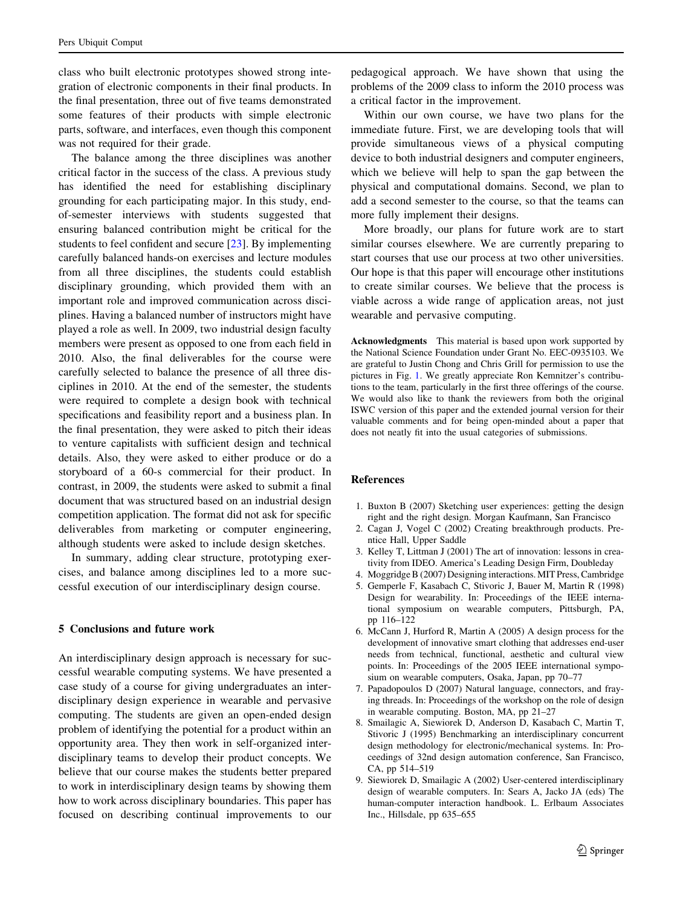<span id="page-12-0"></span>class who built electronic prototypes showed strong integration of electronic components in their final products. In the final presentation, three out of five teams demonstrated some features of their products with simple electronic parts, software, and interfaces, even though this component was not required for their grade.

The balance among the three disciplines was another critical factor in the success of the class. A previous study has identified the need for establishing disciplinary grounding for each participating major. In this study, endof-semester interviews with students suggested that ensuring balanced contribution might be critical for the students to feel confident and secure [\[23](#page-13-0)]. By implementing carefully balanced hands-on exercises and lecture modules from all three disciplines, the students could establish disciplinary grounding, which provided them with an important role and improved communication across disciplines. Having a balanced number of instructors might have played a role as well. In 2009, two industrial design faculty members were present as opposed to one from each field in 2010. Also, the final deliverables for the course were carefully selected to balance the presence of all three disciplines in 2010. At the end of the semester, the students were required to complete a design book with technical specifications and feasibility report and a business plan. In the final presentation, they were asked to pitch their ideas to venture capitalists with sufficient design and technical details. Also, they were asked to either produce or do a storyboard of a 60-s commercial for their product. In contrast, in 2009, the students were asked to submit a final document that was structured based on an industrial design competition application. The format did not ask for specific deliverables from marketing or computer engineering, although students were asked to include design sketches.

In summary, adding clear structure, prototyping exercises, and balance among disciplines led to a more successful execution of our interdisciplinary design course.

## 5 Conclusions and future work

An interdisciplinary design approach is necessary for successful wearable computing systems. We have presented a case study of a course for giving undergraduates an interdisciplinary design experience in wearable and pervasive computing. The students are given an open-ended design problem of identifying the potential for a product within an opportunity area. They then work in self-organized interdisciplinary teams to develop their product concepts. We believe that our course makes the students better prepared to work in interdisciplinary design teams by showing them how to work across disciplinary boundaries. This paper has focused on describing continual improvements to our

pedagogical approach. We have shown that using the problems of the 2009 class to inform the 2010 process was a critical factor in the improvement.

Within our own course, we have two plans for the immediate future. First, we are developing tools that will provide simultaneous views of a physical computing device to both industrial designers and computer engineers, which we believe will help to span the gap between the physical and computational domains. Second, we plan to add a second semester to the course, so that the teams can more fully implement their designs.

More broadly, our plans for future work are to start similar courses elsewhere. We are currently preparing to start courses that use our process at two other universities. Our hope is that this paper will encourage other institutions to create similar courses. We believe that the process is viable across a wide range of application areas, not just wearable and pervasive computing.

Acknowledgments This material is based upon work supported by the National Science Foundation under Grant No. EEC-0935103. We are grateful to Justin Chong and Chris Grill for permission to use the pictures in Fig. [1](#page-4-0). We greatly appreciate Ron Kemnitzer's contributions to the team, particularly in the first three offerings of the course. We would also like to thank the reviewers from both the original ISWC version of this paper and the extended journal version for their valuable comments and for being open-minded about a paper that does not neatly fit into the usual categories of submissions.

#### References

- 1. Buxton B (2007) Sketching user experiences: getting the design right and the right design. Morgan Kaufmann, San Francisco
- 2. Cagan J, Vogel C (2002) Creating breakthrough products. Prentice Hall, Upper Saddle
- 3. Kelley T, Littman J (2001) The art of innovation: lessons in creativity from IDEO. America's Leading Design Firm, Doubleday
- 4. Moggridge B (2007) Designing interactions. MIT Press, Cambridge
- 5. Gemperle F, Kasabach C, Stivoric J, Bauer M, Martin R (1998) Design for wearability. In: Proceedings of the IEEE international symposium on wearable computers, Pittsburgh, PA, pp 116–122
- 6. McCann J, Hurford R, Martin A (2005) A design process for the development of innovative smart clothing that addresses end-user needs from technical, functional, aesthetic and cultural view points. In: Proceedings of the 2005 IEEE international symposium on wearable computers, Osaka, Japan, pp 70–77
- 7. Papadopoulos D (2007) Natural language, connectors, and fraying threads. In: Proceedings of the workshop on the role of design in wearable computing. Boston, MA, pp 21–27
- 8. Smailagic A, Siewiorek D, Anderson D, Kasabach C, Martin T, Stivoric J (1995) Benchmarking an interdisciplinary concurrent design methodology for electronic/mechanical systems. In: Proceedings of 32nd design automation conference, San Francisco, CA, pp 514–519
- 9. Siewiorek D, Smailagic A (2002) User-centered interdisciplinary design of wearable computers. In: Sears A, Jacko JA (eds) The human-computer interaction handbook. L. Erlbaum Associates Inc., Hillsdale, pp 635–655